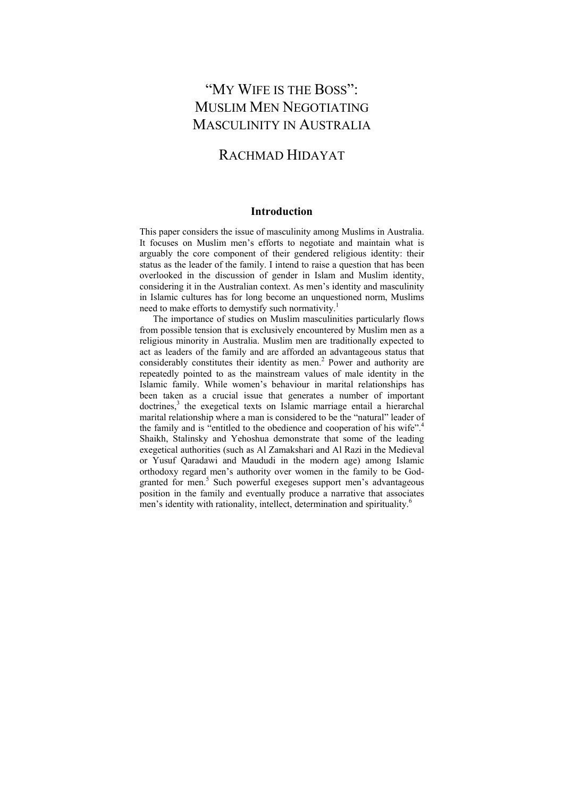# "MY WIFE IS THE BOSS": MUSLIM MEN NEGOTIATING MASCULINITY IN AUSTRALIA

# RACHMAD HIDAYAT

# **Introduction**

This paper considers the issue of masculinity among Muslims in Australia. It focuses on Muslim men's efforts to negotiate and maintain what is arguably the core component of their gendered religious identity: their status as the leader of the family. I intend to raise a question that has been overlooked in the discussion of gender in Islam and Muslim identity, considering it in the Australian context. As men's identity and masculinity in Islamic cultures has for long become an unquestioned norm, Muslims need to make efforts to demystify such normativity.<sup>1</sup>

The importance of studies on Muslim masculinities particularly flows from possible tension that is exclusively encountered by Muslim men as a religious minority in Australia. Muslim men are traditionally expected to act as leaders of the family and are afforded an advantageous status that considerably constitutes their identity as men.<sup>2</sup> Power and authority are repeatedly pointed to as the mainstream values of male identity in the Islamic family. While women's behaviour in marital relationships has been taken as a crucial issue that generates a number of important doctrines,<sup>3</sup> the exegetical texts on Islamic marriage entail a hierarchal marital relationship where a man is considered to be the "natural" leader of the family and is "entitled to the obedience and cooperation of his wife".<sup>4</sup> Shaikh, Stalinsky and Yehoshua demonstrate that some of the leading exegetical authorities (such as Al Zamakshari and Al Razi in the Medieval or Yusuf Qaradawi and Maududi in the modern age) among Islamic orthodoxy regard men's authority over women in the family to be Godgranted for men.<sup>5</sup> Such powerful exegeses support men's advantageous position in the family and eventually produce a narrative that associates men's identity with rationality, intellect, determination and spirituality.<sup>6</sup>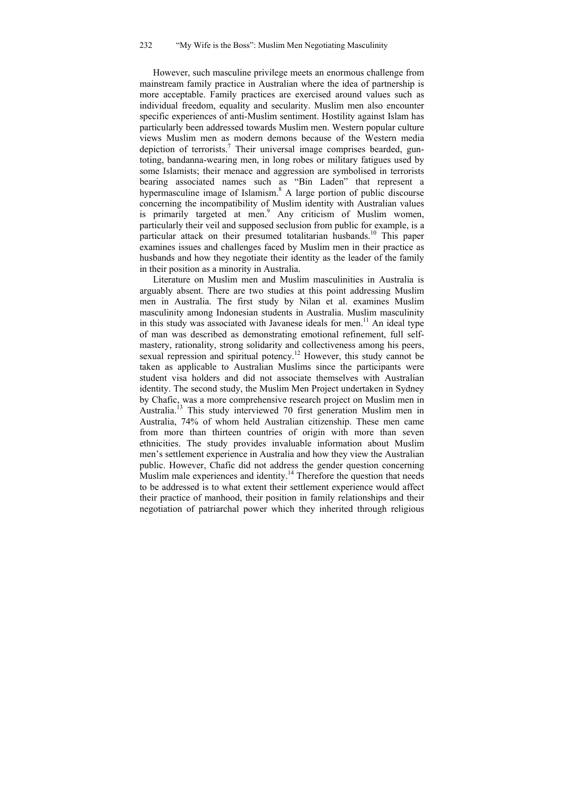However, such masculine privilege meets an enormous challenge from mainstream family practice in Australian where the idea of partnership is more acceptable. Family practices are exercised around values such as individual freedom, equality and secularity. Muslim men also encounter specific experiences of anti-Muslim sentiment. Hostility against Islam has particularly been addressed towards Muslim men. Western popular culture views Muslim men as modern demons because of the Western media depiction of terrorists.<sup>7</sup> Their universal image comprises bearded, guntoting, bandanna-wearing men, in long robes or military fatigues used by some Islamists; their menace and aggression are symbolised in terrorists bearing associated names such as "Bin Laden" that represent a hypermasculine image of Islamism.<sup>8</sup> A large portion of public discourse concerning the incompatibility of Muslim identity with Australian values is primarily targeted at men.<sup>9</sup> Any criticism of Muslim women, particularly their veil and supposed seclusion from public for example, is a particular attack on their presumed totalitarian husbands.<sup>10</sup> This paper examines issues and challenges faced by Muslim men in their practice as husbands and how they negotiate their identity as the leader of the family in their position as a minority in Australia.

Literature on Muslim men and Muslim masculinities in Australia is arguably absent. There are two studies at this point addressing Muslim men in Australia. The first study by Nilan et al. examines Muslim masculinity among Indonesian students in Australia. Muslim masculinity in this study was associated with Javanese ideals for men.<sup>11</sup> An ideal type of man was described as demonstrating emotional refinement, full selfmastery, rationality, strong solidarity and collectiveness among his peers, sexual repression and spiritual potency.<sup>12</sup> However, this study cannot be taken as applicable to Australian Muslims since the participants were student visa holders and did not associate themselves with Australian identity. The second study, the Muslim Men Project undertaken in Sydney by Chafic, was a more comprehensive research project on Muslim men in Australia.<sup>13</sup> This study interviewed 70 first generation Muslim men in Australia, 74% of whom held Australian citizenship. These men came from more than thirteen countries of origin with more than seven ethnicities. The study provides invaluable information about Muslim men's settlement experience in Australia and how they view the Australian public. However, Chafic did not address the gender question concerning Muslim male experiences and identity.<sup>14</sup> Therefore the question that needs to be addressed is to what extent their settlement experience would affect their practice of manhood, their position in family relationships and their negotiation of patriarchal power which they inherited through religious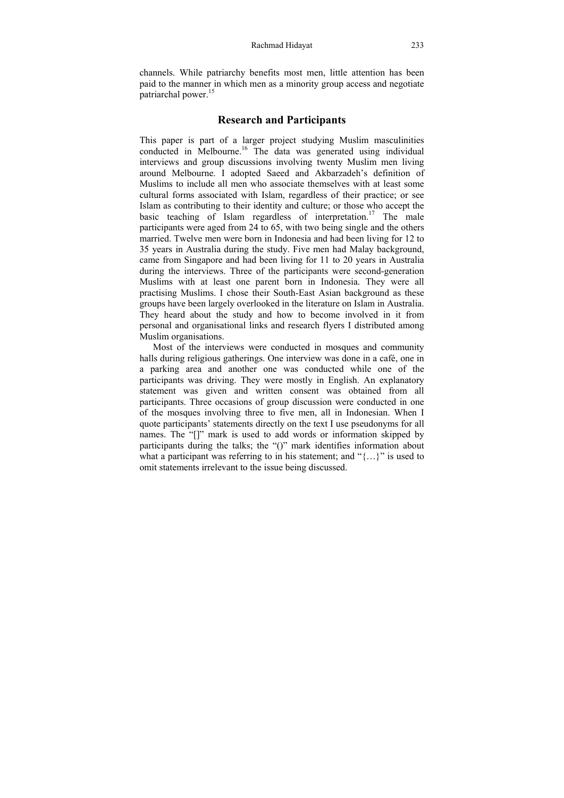channels. While patriarchy benefits most men, little attention has been paid to the manner in which men as a minority group access and negotiate patriarchal power.<sup>15</sup>

## **Research and Participants**

This paper is part of a larger project studying Muslim masculinities conducted in Melbourne.<sup>16</sup> The data was generated using individual interviews and group discussions involving twenty Muslim men living around Melbourne. I adopted Saeed and Akbarzadeh's definition of Muslims to include all men who associate themselves with at least some cultural forms associated with Islam, regardless of their practice; or see Islam as contributing to their identity and culture; or those who accept the basic teaching of Islam regardless of interpretation.<sup>17</sup> The male participants were aged from 24 to 65, with two being single and the others married. Twelve men were born in Indonesia and had been living for 12 to 35 years in Australia during the study. Five men had Malay background, came from Singapore and had been living for 11 to 20 years in Australia during the interviews. Three of the participants were second-generation Muslims with at least one parent born in Indonesia. They were all practising Muslims. I chose their South-East Asian background as these groups have been largely overlooked in the literature on Islam in Australia. They heard about the study and how to become involved in it from personal and organisational links and research flyers I distributed among Muslim organisations.

Most of the interviews were conducted in mosques and community halls during religious gatherings. One interview was done in a café, one in a parking area and another one was conducted while one of the participants was driving. They were mostly in English. An explanatory statement was given and written consent was obtained from all participants. Three occasions of group discussion were conducted in one of the mosques involving three to five men, all in Indonesian. When I quote participants' statements directly on the text I use pseudonyms for all names. The "[]" mark is used to add words or information skipped by participants during the talks; the "()" mark identifies information about what a participant was referring to in his statement; and "{...}" is used to omit statements irrelevant to the issue being discussed.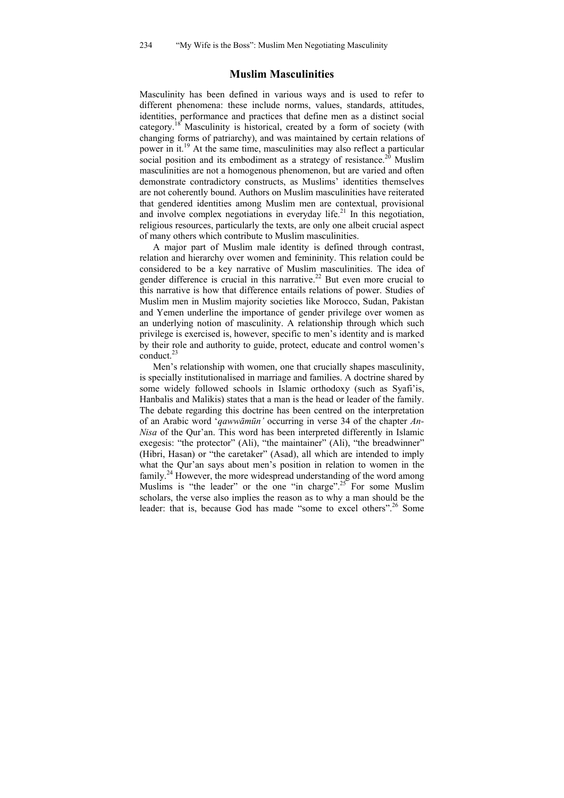# **Muslim Masculinities**

Masculinity has been defined in various ways and is used to refer to different phenomena: these include norms, values, standards, attitudes, identities, performance and practices that define men as a distinct social category.<sup>18</sup> Masculinity is historical, created by a form of society (with changing forms of patriarchy), and was maintained by certain relations of power in it.19 At the same time, masculinities may also reflect a particular social position and its embodiment as a strategy of resistance.<sup>20</sup> Muslim masculinities are not a homogenous phenomenon, but are varied and often demonstrate contradictory constructs, as Muslims' identities themselves are not coherently bound. Authors on Muslim masculinities have reiterated that gendered identities among Muslim men are contextual, provisional and involve complex negotiations in everyday life.<sup>21</sup> In this negotiation, religious resources, particularly the texts, are only one albeit crucial aspect of many others which contribute to Muslim masculinities.

A major part of Muslim male identity is defined through contrast, relation and hierarchy over women and femininity. This relation could be considered to be a key narrative of Muslim masculinities. The idea of gender difference is crucial in this narrative.<sup>22</sup> But even more crucial to this narrative is how that difference entails relations of power. Studies of Muslim men in Muslim majority societies like Morocco, Sudan, Pakistan and Yemen underline the importance of gender privilege over women as an underlying notion of masculinity. A relationship through which such privilege is exercised is, however, specific to men's identity and is marked by their role and authority to guide, protect, educate and control women's  $\text{conduct.}^{23}$ 

Men's relationship with women, one that crucially shapes masculinity, is specially institutionalised in marriage and families. A doctrine shared by some widely followed schools in Islamic orthodoxy (such as Syafi'is, Hanbalis and Malikis) states that a man is the head or leader of the family. The debate regarding this doctrine has been centred on the interpretation of an Arabic word '*qawwāmūn'* occurring in verse 34 of the chapter *An-Nisa* of the Qur'an. This word has been interpreted differently in Islamic exegesis: "the protector" (Ali), "the maintainer" (Ali), "the breadwinner" (Hibri, Hasan) or "the caretaker" (Asad), all which are intended to imply what the Qur'an says about men's position in relation to women in the family.24 However, the more widespread understanding of the word among Muslims is "the leader" or the one "in charge".<sup>25</sup> For some Muslim scholars, the verse also implies the reason as to why a man should be the leader: that is, because God has made "some to excel others".<sup>26</sup> Some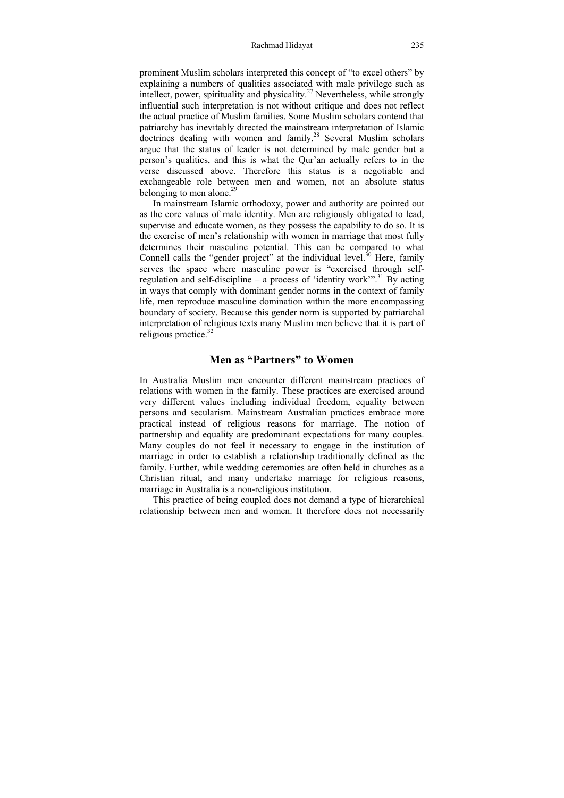prominent Muslim scholars interpreted this concept of "to excel others" by explaining a numbers of qualities associated with male privilege such as intellect, power, spirituality and physicality.<sup>27</sup> Nevertheless, while strongly influential such interpretation is not without critique and does not reflect the actual practice of Muslim families. Some Muslim scholars contend that patriarchy has inevitably directed the mainstream interpretation of Islamic doctrines dealing with women and family.<sup>28</sup> Several Muslim scholars argue that the status of leader is not determined by male gender but a person's qualities, and this is what the Qur'an actually refers to in the verse discussed above. Therefore this status is a negotiable and exchangeable role between men and women, not an absolute status belonging to men alone. $29$ 

In mainstream Islamic orthodoxy, power and authority are pointed out as the core values of male identity. Men are religiously obligated to lead, supervise and educate women, as they possess the capability to do so. It is the exercise of men's relationship with women in marriage that most fully determines their masculine potential. This can be compared to what Connell calls the "gender project" at the individual level. $3<sup>30</sup>$  Here, family serves the space where masculine power is "exercised through selfregulation and self-discipline – a process of 'identity work'".<sup>31</sup> By acting in ways that comply with dominant gender norms in the context of family life, men reproduce masculine domination within the more encompassing boundary of society. Because this gender norm is supported by patriarchal interpretation of religious texts many Muslim men believe that it is part of religious practice.32

# **Men as "Partners" to Women**

In Australia Muslim men encounter different mainstream practices of relations with women in the family. These practices are exercised around very different values including individual freedom, equality between persons and secularism. Mainstream Australian practices embrace more practical instead of religious reasons for marriage. The notion of partnership and equality are predominant expectations for many couples. Many couples do not feel it necessary to engage in the institution of marriage in order to establish a relationship traditionally defined as the family. Further, while wedding ceremonies are often held in churches as a Christian ritual, and many undertake marriage for religious reasons, marriage in Australia is a non-religious institution.

This practice of being coupled does not demand a type of hierarchical relationship between men and women. It therefore does not necessarily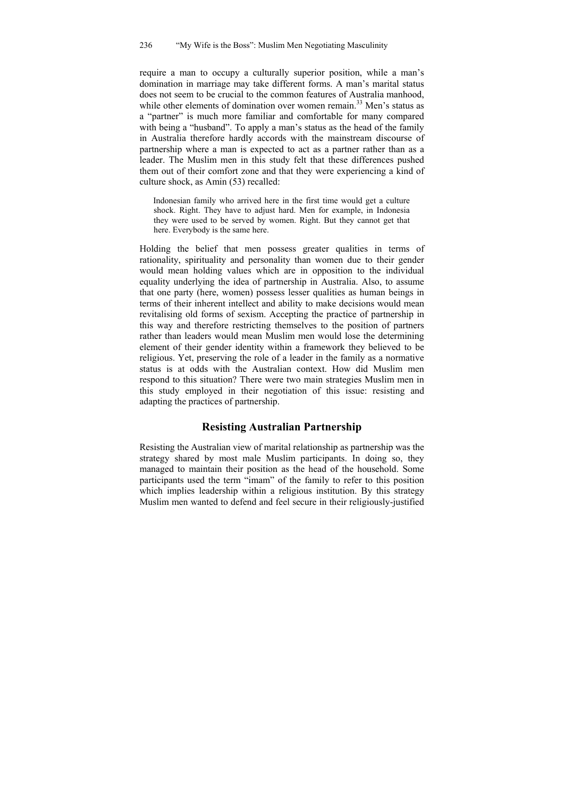require a man to occupy a culturally superior position, while a man's domination in marriage may take different forms. A man's marital status does not seem to be crucial to the common features of Australia manhood, while other elements of domination over women remain.<sup>33</sup> Men's status as a "partner" is much more familiar and comfortable for many compared with being a "husband". To apply a man's status as the head of the family in Australia therefore hardly accords with the mainstream discourse of partnership where a man is expected to act as a partner rather than as a leader. The Muslim men in this study felt that these differences pushed them out of their comfort zone and that they were experiencing a kind of culture shock, as Amin (53) recalled:

Indonesian family who arrived here in the first time would get a culture shock. Right. They have to adjust hard. Men for example, in Indonesia they were used to be served by women. Right. But they cannot get that here. Everybody is the same here.

Holding the belief that men possess greater qualities in terms of rationality, spirituality and personality than women due to their gender would mean holding values which are in opposition to the individual equality underlying the idea of partnership in Australia. Also, to assume that one party (here, women) possess lesser qualities as human beings in terms of their inherent intellect and ability to make decisions would mean revitalising old forms of sexism. Accepting the practice of partnership in this way and therefore restricting themselves to the position of partners rather than leaders would mean Muslim men would lose the determining element of their gender identity within a framework they believed to be religious. Yet, preserving the role of a leader in the family as a normative status is at odds with the Australian context. How did Muslim men respond to this situation? There were two main strategies Muslim men in this study employed in their negotiation of this issue: resisting and adapting the practices of partnership.

# **Resisting Australian Partnership**

Resisting the Australian view of marital relationship as partnership was the strategy shared by most male Muslim participants. In doing so, they managed to maintain their position as the head of the household. Some participants used the term "imam" of the family to refer to this position which implies leadership within a religious institution. By this strategy Muslim men wanted to defend and feel secure in their religiously-justified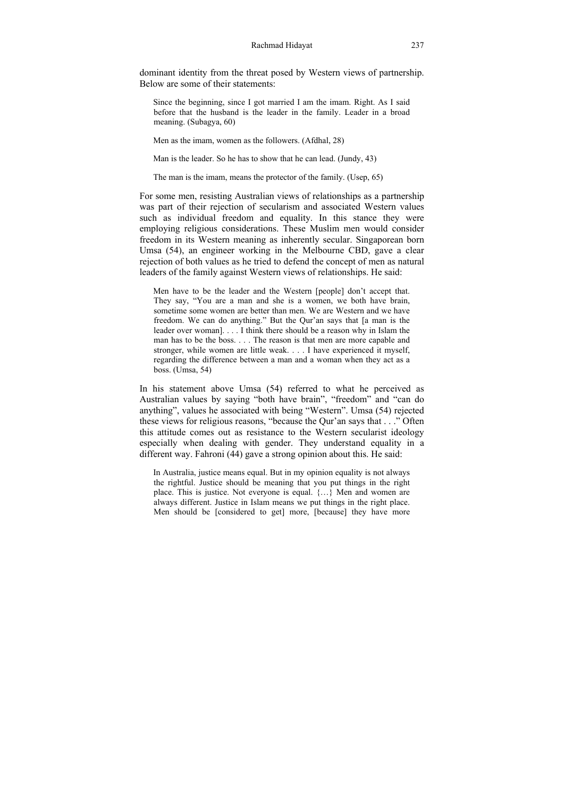dominant identity from the threat posed by Western views of partnership. Below are some of their statements:

Since the beginning, since I got married I am the imam. Right. As I said before that the husband is the leader in the family. Leader in a broad meaning. (Subagya, 60)

Men as the imam, women as the followers. (Afdhal, 28)

Man is the leader. So he has to show that he can lead. (Jundy, 43)

The man is the imam, means the protector of the family. (Usep, 65)

For some men, resisting Australian views of relationships as a partnership was part of their rejection of secularism and associated Western values such as individual freedom and equality. In this stance they were employing religious considerations. These Muslim men would consider freedom in its Western meaning as inherently secular. Singaporean born Umsa (54), an engineer working in the Melbourne CBD, gave a clear rejection of both values as he tried to defend the concept of men as natural leaders of the family against Western views of relationships. He said:

Men have to be the leader and the Western [people] don't accept that. They say, "You are a man and she is a women, we both have brain, sometime some women are better than men. We are Western and we have freedom. We can do anything." But the Qur'an says that [a man is the leader over woman]. . . . I think there should be a reason why in Islam the man has to be the boss. . . . The reason is that men are more capable and stronger, while women are little weak. . . . I have experienced it myself, regarding the difference between a man and a woman when they act as a boss. (Umsa, 54)

In his statement above Umsa (54) referred to what he perceived as Australian values by saying "both have brain", "freedom" and "can do anything", values he associated with being "Western". Umsa (54) rejected these views for religious reasons, "because the Qur'an says that . . ." Often this attitude comes out as resistance to the Western secularist ideology especially when dealing with gender. They understand equality in a different way. Fahroni (44) gave a strong opinion about this. He said:

In Australia, justice means equal. But in my opinion equality is not always the rightful. Justice should be meaning that you put things in the right place. This is justice. Not everyone is equal. {…} Men and women are always different. Justice in Islam means we put things in the right place. Men should be [considered to get] more, [because] they have more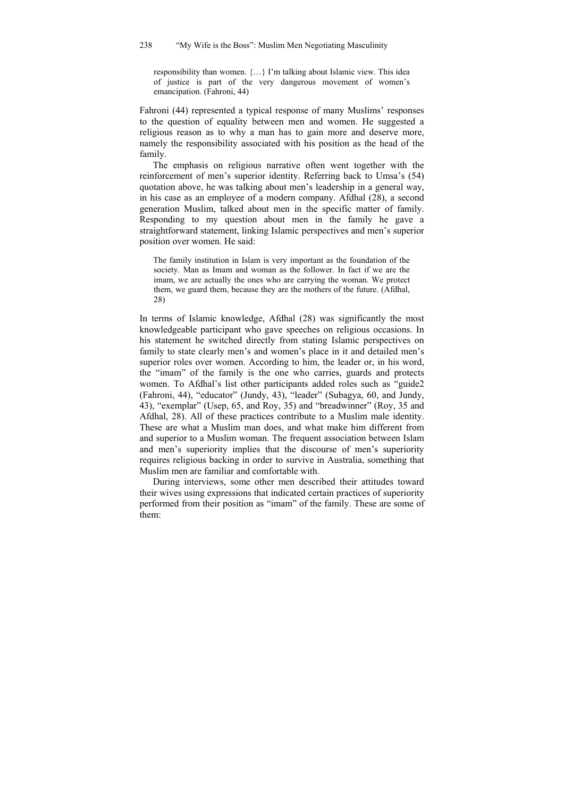responsibility than women. {…} I'm talking about Islamic view. This idea of justice is part of the very dangerous movement of women's emancipation. (Fahroni, 44)

Fahroni (44) represented a typical response of many Muslims' responses to the question of equality between men and women. He suggested a religious reason as to why a man has to gain more and deserve more, namely the responsibility associated with his position as the head of the family.

The emphasis on religious narrative often went together with the reinforcement of men's superior identity. Referring back to Umsa's (54) quotation above, he was talking about men's leadership in a general way, in his case as an employee of a modern company. Afdhal (28), a second generation Muslim, talked about men in the specific matter of family. Responding to my question about men in the family he gave a straightforward statement, linking Islamic perspectives and men's superior position over women. He said:

The family institution in Islam is very important as the foundation of the society. Man as Imam and woman as the follower. In fact if we are the imam, we are actually the ones who are carrying the woman. We protect them, we guard them, because they are the mothers of the future. (Afdhal, 28)

In terms of Islamic knowledge, Afdhal (28) was significantly the most knowledgeable participant who gave speeches on religious occasions. In his statement he switched directly from stating Islamic perspectives on family to state clearly men's and women's place in it and detailed men's superior roles over women. According to him, the leader or, in his word, the "imam" of the family is the one who carries, guards and protects women. To Afdhal's list other participants added roles such as "guide2 (Fahroni, 44), "educator" (Jundy, 43), "leader" (Subagya, 60, and Jundy, 43), "exemplar" (Usep, 65, and Roy, 35) and "breadwinner" (Roy, 35 and Afdhal, 28). All of these practices contribute to a Muslim male identity. These are what a Muslim man does, and what make him different from and superior to a Muslim woman. The frequent association between Islam and men's superiority implies that the discourse of men's superiority requires religious backing in order to survive in Australia, something that Muslim men are familiar and comfortable with.

During interviews, some other men described their attitudes toward their wives using expressions that indicated certain practices of superiority performed from their position as "imam" of the family. These are some of them: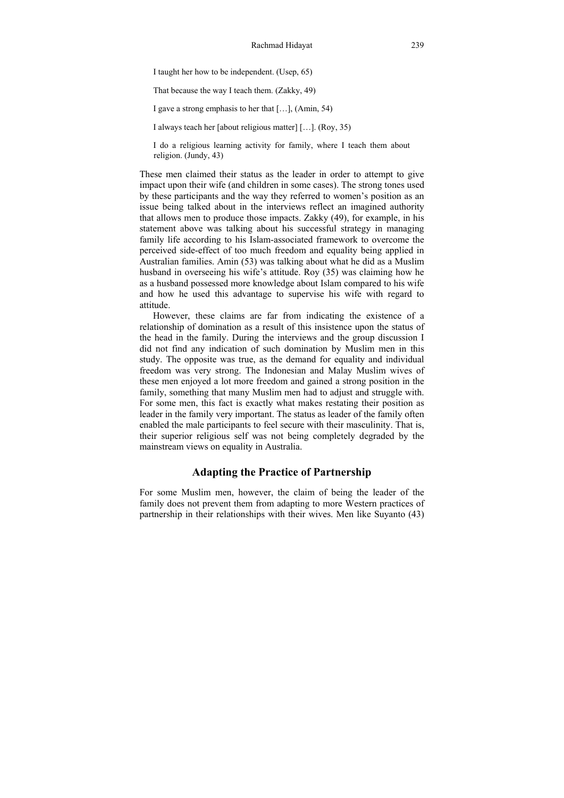I taught her how to be independent. (Usep, 65)

That because the way I teach them. (Zakky, 49)

I gave a strong emphasis to her that […], (Amin, 54)

I always teach her [about religious matter] […]. (Roy, 35)

I do a religious learning activity for family, where I teach them about religion. (Jundy, 43)

These men claimed their status as the leader in order to attempt to give impact upon their wife (and children in some cases). The strong tones used by these participants and the way they referred to women's position as an issue being talked about in the interviews reflect an imagined authority that allows men to produce those impacts. Zakky (49), for example, in his statement above was talking about his successful strategy in managing family life according to his Islam-associated framework to overcome the perceived side-effect of too much freedom and equality being applied in Australian families. Amin (53) was talking about what he did as a Muslim husband in overseeing his wife's attitude. Roy (35) was claiming how he as a husband possessed more knowledge about Islam compared to his wife and how he used this advantage to supervise his wife with regard to attitude.

However, these claims are far from indicating the existence of a relationship of domination as a result of this insistence upon the status of the head in the family. During the interviews and the group discussion I did not find any indication of such domination by Muslim men in this study. The opposite was true, as the demand for equality and individual freedom was very strong. The Indonesian and Malay Muslim wives of these men enjoyed a lot more freedom and gained a strong position in the family, something that many Muslim men had to adjust and struggle with. For some men, this fact is exactly what makes restating their position as leader in the family very important. The status as leader of the family often enabled the male participants to feel secure with their masculinity. That is, their superior religious self was not being completely degraded by the mainstream views on equality in Australia.

### **Adapting the Practice of Partnership**

For some Muslim men, however, the claim of being the leader of the family does not prevent them from adapting to more Western practices of partnership in their relationships with their wives. Men like Suyanto (43)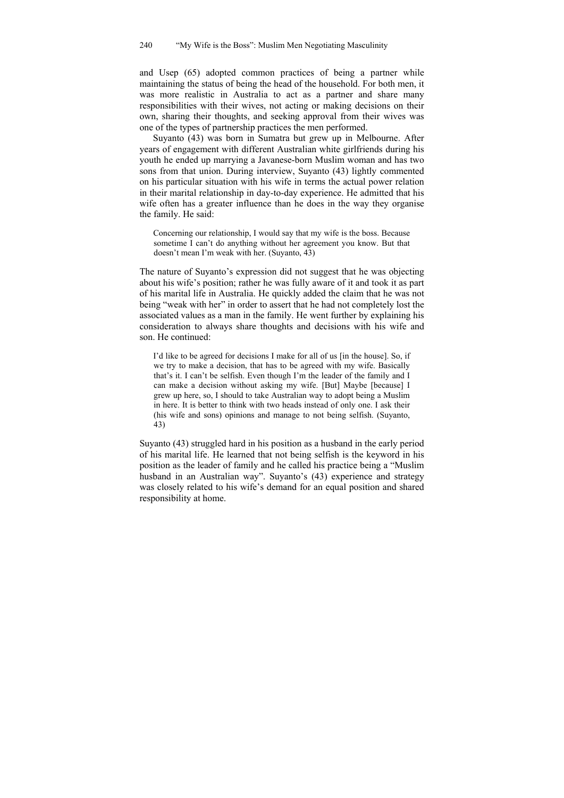and Usep (65) adopted common practices of being a partner while maintaining the status of being the head of the household. For both men, it was more realistic in Australia to act as a partner and share many responsibilities with their wives, not acting or making decisions on their own, sharing their thoughts, and seeking approval from their wives was one of the types of partnership practices the men performed.

Suyanto (43) was born in Sumatra but grew up in Melbourne. After years of engagement with different Australian white girlfriends during his youth he ended up marrying a Javanese-born Muslim woman and has two sons from that union. During interview, Suyanto (43) lightly commented on his particular situation with his wife in terms the actual power relation in their marital relationship in day-to-day experience. He admitted that his wife often has a greater influence than he does in the way they organise the family. He said:

Concerning our relationship, I would say that my wife is the boss. Because sometime I can't do anything without her agreement you know. But that doesn't mean I'm weak with her. (Suyanto, 43)

The nature of Suyanto's expression did not suggest that he was objecting about his wife's position; rather he was fully aware of it and took it as part of his marital life in Australia. He quickly added the claim that he was not being "weak with her" in order to assert that he had not completely lost the associated values as a man in the family. He went further by explaining his consideration to always share thoughts and decisions with his wife and son. He continued:

I'd like to be agreed for decisions I make for all of us [in the house]. So, if we try to make a decision, that has to be agreed with my wife. Basically that's it. I can't be selfish. Even though I'm the leader of the family and I can make a decision without asking my wife. [But] Maybe [because] I grew up here, so, I should to take Australian way to adopt being a Muslim in here. It is better to think with two heads instead of only one. I ask their (his wife and sons) opinions and manage to not being selfish. (Suyanto, 43)

Suyanto (43) struggled hard in his position as a husband in the early period of his marital life. He learned that not being selfish is the keyword in his position as the leader of family and he called his practice being a "Muslim husband in an Australian way". Suyanto's (43) experience and strategy was closely related to his wife's demand for an equal position and shared responsibility at home.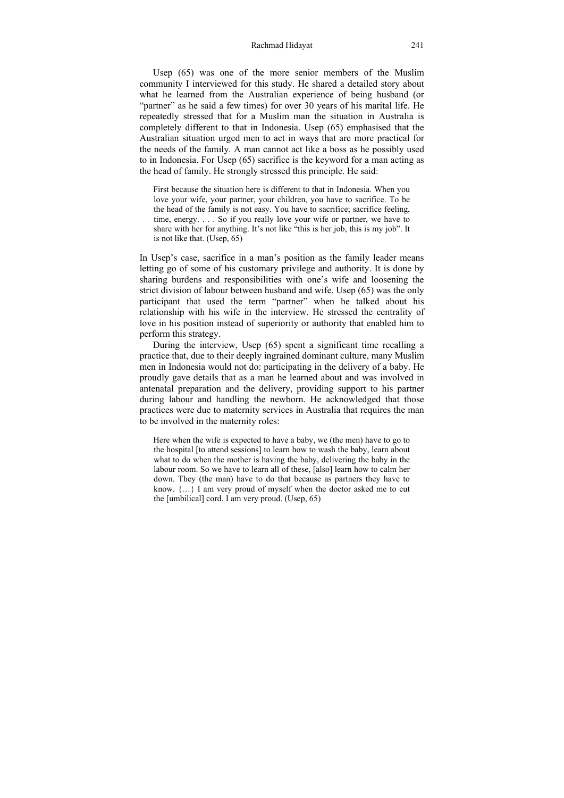#### Rachmad Hidayat 241

Usep (65) was one of the more senior members of the Muslim community I interviewed for this study. He shared a detailed story about what he learned from the Australian experience of being husband (or "partner" as he said a few times) for over 30 years of his marital life. He repeatedly stressed that for a Muslim man the situation in Australia is completely different to that in Indonesia. Usep (65) emphasised that the Australian situation urged men to act in ways that are more practical for the needs of the family. A man cannot act like a boss as he possibly used to in Indonesia. For Usep (65) sacrifice is the keyword for a man acting as the head of family. He strongly stressed this principle. He said:

First because the situation here is different to that in Indonesia. When you love your wife, your partner, your children, you have to sacrifice. To be the head of the family is not easy. You have to sacrifice; sacrifice feeling, time, energy. . . . So if you really love your wife or partner, we have to share with her for anything. It's not like "this is her job, this is my job". It is not like that. (Usep, 65)

In Usep's case, sacrifice in a man's position as the family leader means letting go of some of his customary privilege and authority. It is done by sharing burdens and responsibilities with one's wife and loosening the strict division of labour between husband and wife. Usep (65) was the only participant that used the term "partner" when he talked about his relationship with his wife in the interview. He stressed the centrality of love in his position instead of superiority or authority that enabled him to perform this strategy.

During the interview, Usep (65) spent a significant time recalling a practice that, due to their deeply ingrained dominant culture, many Muslim men in Indonesia would not do: participating in the delivery of a baby. He proudly gave details that as a man he learned about and was involved in antenatal preparation and the delivery, providing support to his partner during labour and handling the newborn. He acknowledged that those practices were due to maternity services in Australia that requires the man to be involved in the maternity roles:

Here when the wife is expected to have a baby, we (the men) have to go to the hospital [to attend sessions] to learn how to wash the baby, learn about what to do when the mother is having the baby, delivering the baby in the labour room. So we have to learn all of these, [also] learn how to calm her down. They (the man) have to do that because as partners they have to know.  $\{...\}$  I am very proud of myself when the doctor asked me to cut the [umbilical] cord. I am very proud. (Usep, 65)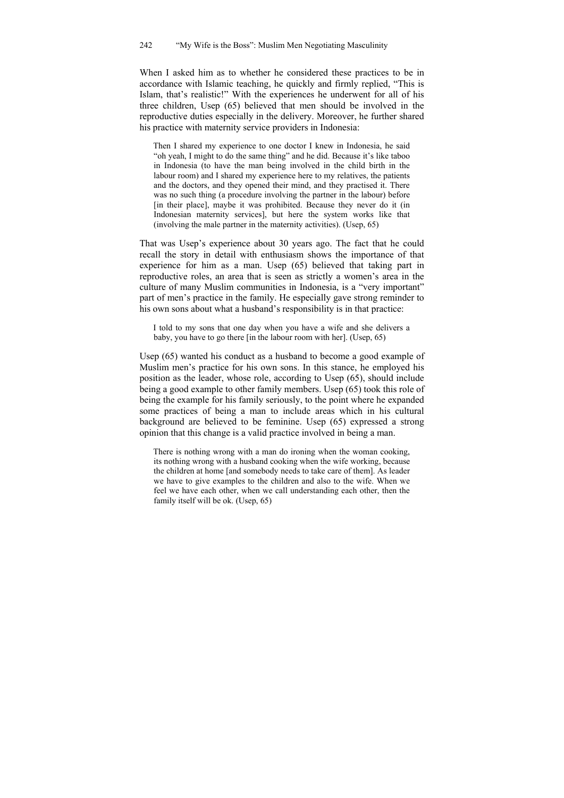When I asked him as to whether he considered these practices to be in accordance with Islamic teaching, he quickly and firmly replied, "This is Islam, that's realistic!" With the experiences he underwent for all of his three children, Usep (65) believed that men should be involved in the reproductive duties especially in the delivery. Moreover, he further shared his practice with maternity service providers in Indonesia:

Then I shared my experience to one doctor I knew in Indonesia, he said "oh yeah, I might to do the same thing" and he did. Because it's like taboo in Indonesia (to have the man being involved in the child birth in the labour room) and I shared my experience here to my relatives, the patients and the doctors, and they opened their mind, and they practised it. There was no such thing (a procedure involving the partner in the labour) before [in their place], maybe it was prohibited. Because they never do it (in Indonesian maternity services], but here the system works like that (involving the male partner in the maternity activities). (Usep, 65)

That was Usep's experience about 30 years ago. The fact that he could recall the story in detail with enthusiasm shows the importance of that experience for him as a man. Usep (65) believed that taking part in reproductive roles, an area that is seen as strictly a women's area in the culture of many Muslim communities in Indonesia, is a "very important" part of men's practice in the family. He especially gave strong reminder to his own sons about what a husband's responsibility is in that practice:

I told to my sons that one day when you have a wife and she delivers a baby, you have to go there [in the labour room with her]. (Usep, 65)

Usep (65) wanted his conduct as a husband to become a good example of Muslim men's practice for his own sons. In this stance, he employed his position as the leader, whose role, according to Usep (65), should include being a good example to other family members. Usep (65) took this role of being the example for his family seriously, to the point where he expanded some practices of being a man to include areas which in his cultural background are believed to be feminine. Usep (65) expressed a strong opinion that this change is a valid practice involved in being a man.

There is nothing wrong with a man do ironing when the woman cooking, its nothing wrong with a husband cooking when the wife working, because the children at home [and somebody needs to take care of them]. As leader we have to give examples to the children and also to the wife. When we feel we have each other, when we call understanding each other, then the family itself will be ok. (Usep, 65)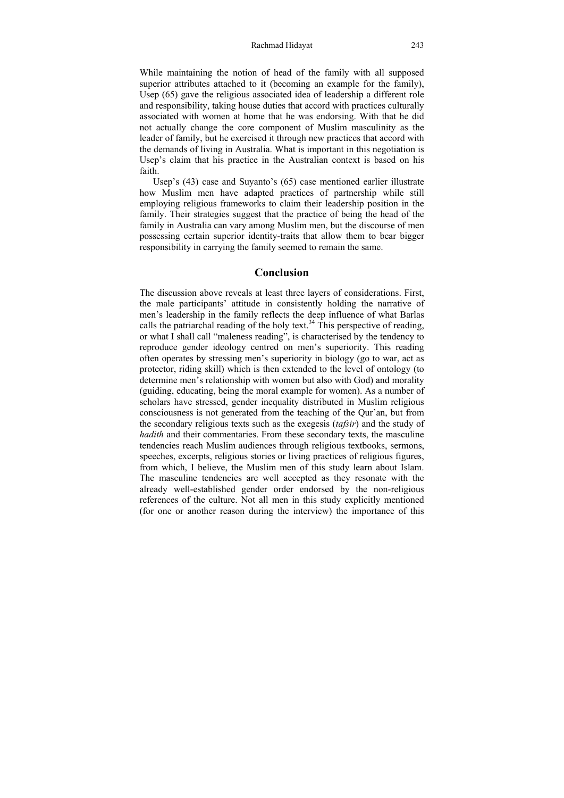While maintaining the notion of head of the family with all supposed superior attributes attached to it (becoming an example for the family), Usep (65) gave the religious associated idea of leadership a different role and responsibility, taking house duties that accord with practices culturally associated with women at home that he was endorsing. With that he did not actually change the core component of Muslim masculinity as the leader of family, but he exercised it through new practices that accord with the demands of living in Australia. What is important in this negotiation is Usep's claim that his practice in the Australian context is based on his faith.

Usep's (43) case and Suyanto's (65) case mentioned earlier illustrate how Muslim men have adapted practices of partnership while still employing religious frameworks to claim their leadership position in the family. Their strategies suggest that the practice of being the head of the family in Australia can vary among Muslim men, but the discourse of men possessing certain superior identity-traits that allow them to bear bigger responsibility in carrying the family seemed to remain the same.

# **Conclusion**

The discussion above reveals at least three layers of considerations. First, the male participants' attitude in consistently holding the narrative of men's leadership in the family reflects the deep influence of what Barlas calls the patriarchal reading of the holy text.<sup>34</sup> This perspective of reading, or what I shall call "maleness reading", is characterised by the tendency to reproduce gender ideology centred on men's superiority. This reading often operates by stressing men's superiority in biology (go to war, act as protector, riding skill) which is then extended to the level of ontology (to determine men's relationship with women but also with God) and morality (guiding, educating, being the moral example for women). As a number of scholars have stressed, gender inequality distributed in Muslim religious consciousness is not generated from the teaching of the Qur'an, but from the secondary religious texts such as the exegesis (*tafsir*) and the study of *hadith* and their commentaries. From these secondary texts, the masculine tendencies reach Muslim audiences through religious textbooks, sermons, speeches, excerpts, religious stories or living practices of religious figures, from which, I believe, the Muslim men of this study learn about Islam. The masculine tendencies are well accepted as they resonate with the already well-established gender order endorsed by the non-religious references of the culture. Not all men in this study explicitly mentioned (for one or another reason during the interview) the importance of this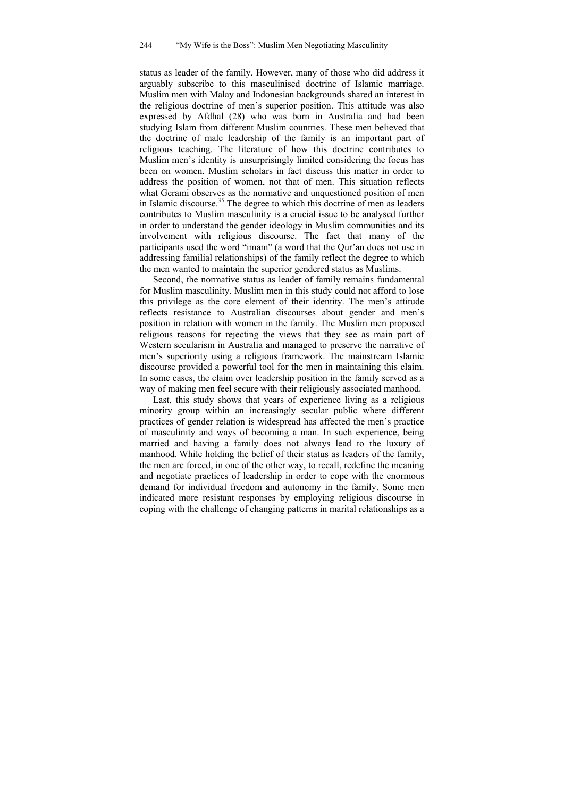status as leader of the family. However, many of those who did address it arguably subscribe to this masculinised doctrine of Islamic marriage. Muslim men with Malay and Indonesian backgrounds shared an interest in the religious doctrine of men's superior position. This attitude was also expressed by Afdhal (28) who was born in Australia and had been studying Islam from different Muslim countries. These men believed that the doctrine of male leadership of the family is an important part of religious teaching. The literature of how this doctrine contributes to Muslim men's identity is unsurprisingly limited considering the focus has been on women. Muslim scholars in fact discuss this matter in order to address the position of women, not that of men. This situation reflects what Gerami observes as the normative and unquestioned position of men in Islamic discourse.<sup>35</sup> The degree to which this doctrine of men as leaders contributes to Muslim masculinity is a crucial issue to be analysed further in order to understand the gender ideology in Muslim communities and its involvement with religious discourse. The fact that many of the participants used the word "imam" (a word that the Qur'an does not use in addressing familial relationships) of the family reflect the degree to which the men wanted to maintain the superior gendered status as Muslims.

Second, the normative status as leader of family remains fundamental for Muslim masculinity. Muslim men in this study could not afford to lose this privilege as the core element of their identity. The men's attitude reflects resistance to Australian discourses about gender and men's position in relation with women in the family. The Muslim men proposed religious reasons for rejecting the views that they see as main part of Western secularism in Australia and managed to preserve the narrative of men's superiority using a religious framework. The mainstream Islamic discourse provided a powerful tool for the men in maintaining this claim. In some cases, the claim over leadership position in the family served as a way of making men feel secure with their religiously associated manhood.

Last, this study shows that years of experience living as a religious minority group within an increasingly secular public where different practices of gender relation is widespread has affected the men's practice of masculinity and ways of becoming a man. In such experience, being married and having a family does not always lead to the luxury of manhood. While holding the belief of their status as leaders of the family, the men are forced, in one of the other way, to recall, redefine the meaning and negotiate practices of leadership in order to cope with the enormous demand for individual freedom and autonomy in the family. Some men indicated more resistant responses by employing religious discourse in coping with the challenge of changing patterns in marital relationships as a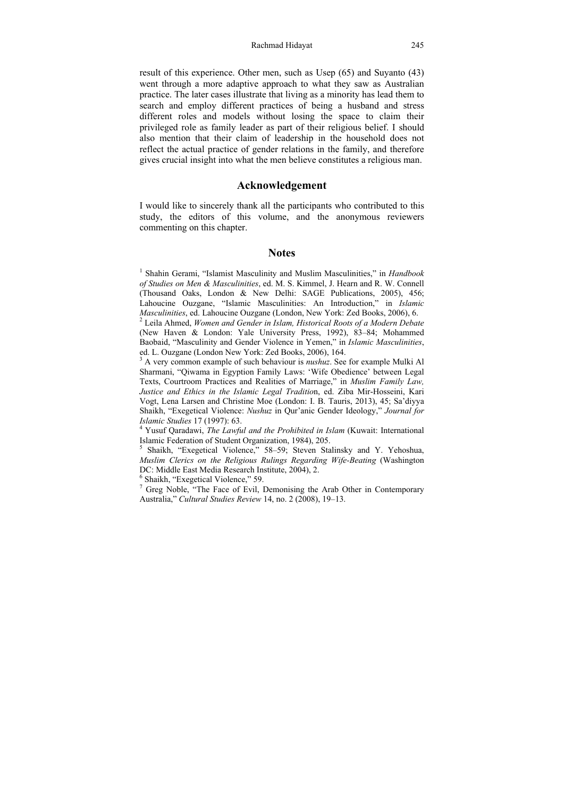#### Rachmad Hidayat 245

result of this experience. Other men, such as Usep (65) and Suyanto (43) went through a more adaptive approach to what they saw as Australian practice. The later cases illustrate that living as a minority has lead them to search and employ different practices of being a husband and stress different roles and models without losing the space to claim their privileged role as family leader as part of their religious belief. I should also mention that their claim of leadership in the household does not reflect the actual practice of gender relations in the family, and therefore gives crucial insight into what the men believe constitutes a religious man.

# **Acknowledgement**

I would like to sincerely thank all the participants who contributed to this study, the editors of this volume, and the anonymous reviewers commenting on this chapter.

### **Notes**

<sup>1</sup> Shahin Gerami, "Islamist Masculinity and Muslim Masculinities," in *Handbook of Studies on Men & Masculinities*, ed. M. S. Kimmel, J. Hearn and R. W. Connell (Thousand Oaks, London & New Delhi: SAGE Publications, 2005), 456; Lahoucine Ouzgane, "Islamic Masculinities: An Introduction," in *Islamic Masculinities*, ed. Lahoucine Ouzgane (London, New York: Zed Books, 2006), 6.

 Leila Ahmed, *Women and Gender in Islam, Historical Roots of a Modern Debate* (New Haven & London: Yale University Press, 1992), 83–84; Mohammed Baobaid, "Masculinity and Gender Violence in Yemen," in *Islamic Masculinities*, ed. L. Ouzgane (London New York: Zed Books, 2006), 164.

<sup>3</sup> A very common example of such behaviour is *nushuz*. See for example Mulki Al Sharmani, "Qiwama in Egyption Family Laws: 'Wife Obedience' between Legal Texts, Courtroom Practices and Realities of Marriage," in *Muslim Family Law, Justice and Ethics in the Islamic Legal Traditio*n, ed. Ziba Mir-Hosseini, Kari Vogt, Lena Larsen and Christine Moe (London: I. B. Tauris, 2013), 45; Sa'diyya Shaikh, "Exegetical Violence: *Nushuz* in Qur'anic Gender Ideology," *Journal for Islamic Studies* 17 (1997): 63. 4

 Yusuf Qaradawi, *The Lawful and the Prohibited in Islam* (Kuwait: International Islamic Federation of Student Organization, 1984), 205.

<sup>5</sup> Shaikh, "Exegetical Violence," 58-59; Steven Stalinsky and Y. Yehoshua, *Muslim Clerics on the Religious Rulings Regarding Wife-Beating* (Washington DC: Middle East Media Research Institute, 2004), 2.

6 Shaikh, "Exegetical Violence," 59.

<sup>7</sup> Greg Noble, "The Face of Evil, Demonising the Arab Other in Contemporary Australia," *Cultural Studies Review* 14, no. 2 (2008), 19–13.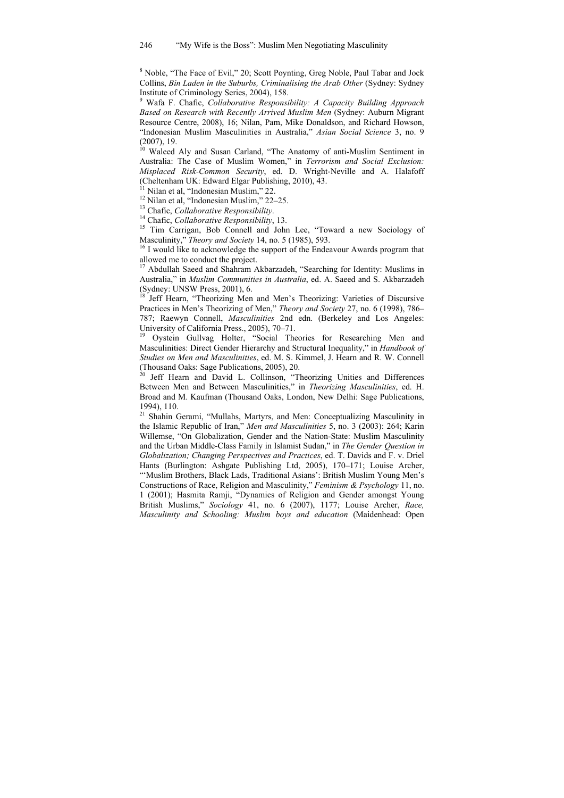<sup>8</sup> Noble, "The Face of Evil," 20; Scott Poynting, Greg Noble, Paul Tabar and Jock Collins, *Bin Laden in the Suburbs, Criminalising the Arab Other* (Sydney: Sydney Institute of Criminology Series, 2004), 158.

9 Wafa F. Chafic, *Collaborative Responsibility: A Capacity Building Approach Based on Research with Recently Arrived Muslim Men* (Sydney: Auburn Migrant Resource Centre, 2008), 16; Nilan, Pam, Mike Donaldson, and Richard Howson, "Indonesian Muslim Masculinities in Australia," *Asian Social Science* 3, no. 9 (2007), 19.

<sup>10</sup> Waleed Aly and Susan Carland, "The Anatomy of anti-Muslim Sentiment in Australia: The Case of Muslim Women," in *Terrorism and Social Exclusion: Misplaced Risk-Common Security*, ed. D. Wright-Neville and A. Halafoff (Cheltenham UK: Edward Elgar Publishing, 2010), 43.

Nilan et al. "Indonesian Muslim," 22.

<sup>12</sup> Nilan et al, "Indonesian Muslim," 22–25.<br><sup>13</sup> Chafic. *Collaborative Responsibility*.

<sup>14</sup> Chafic, *Collaborative Responsibility*, 13.<br><sup>15</sup> Tim Carrigan, Bob Connell and John Lee, "Toward a new Sociology of Masculinity," *Theory and Society* 14, no. 5 (1985), 593.

<sup>16</sup> I would like to acknowledge the support of the Endeavour Awards program that allowed me to conduct the project.

<sup>17</sup> Abdullah Saeed and Shahram Akbarzadeh, "Searching for Identity: Muslims in Australia," in *Muslim Communities in Australia*, ed. A. Saeed and S. Akbarzadeh  $(Sy$ dney: UNSW Press, 2001), 6.

18 Jeff Hearn, "Theorizing Men and Men's Theorizing: Varieties of Discursive Practices in Men's Theorizing of Men," *Theory and Society* 27, no. 6 (1998), 786– 787; Raewyn Connell, *Masculinities* 2nd edn. (Berkeley and Los Angeles: University of California Press., 2005), 70–71.

<sup>19</sup> Oystein Gullvag Holter, "Social Theories for Researching Men and Masculinities: Direct Gender Hierarchy and Structural Inequality," in *Handbook of Studies on Men and Masculinities*, ed. M. S. Kimmel, J. Hearn and R. W. Connell

(Thousand Oaks: Sage Publications, 2005), 20. 20 Jeff Hearn and David L. Collinson, "Theorizing Unities and Differences Between Men and Between Masculinities," in *Theorizing Masculinities*, ed. H. Broad and M. Kaufman (Thousand Oaks, London, New Delhi: Sage Publications, 1994), 110.

<sup>21</sup> Shahin Gerami, "Mullahs, Martyrs, and Men: Conceptualizing Masculinity in the Islamic Republic of Iran," *Men and Masculinities* 5, no. 3 (2003): 264; Karin Willemse, "On Globalization, Gender and the Nation-State: Muslim Masculinity and the Urban Middle-Class Family in Islamist Sudan," in *The Gender Question in Globalization; Changing Perspectives and Practices*, ed. T. Davids and F. v. Driel Hants (Burlington: Ashgate Publishing Ltd, 2005), 170–171; Louise Archer, "'Muslim Brothers, Black Lads, Traditional Asians': British Muslim Young Men's Constructions of Race, Religion and Masculinity," *Feminism & Psychology* 11, no. 1 (2001); Hasmita Ramji, "Dynamics of Religion and Gender amongst Young British Muslims," *Sociology* 41, no. 6 (2007), 1177; Louise Archer, *Race, Masculinity and Schooling: Muslim boys and education* (Maidenhead: Open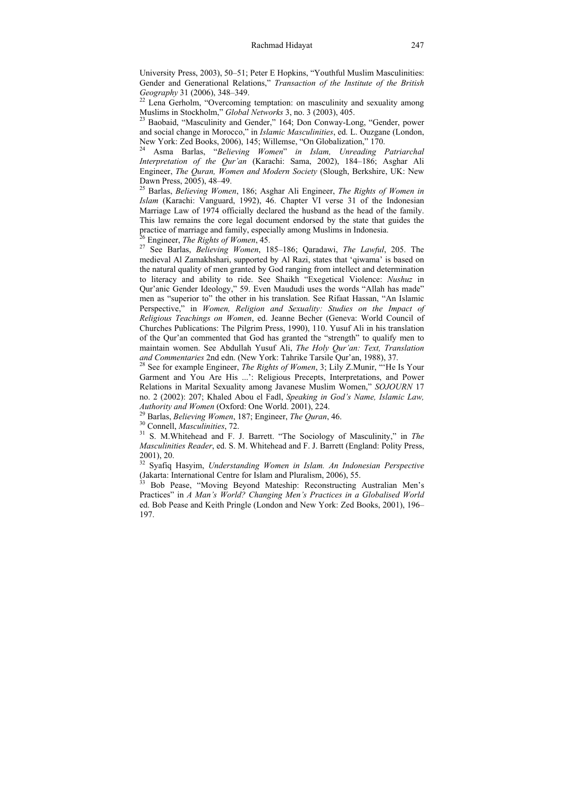University Press, 2003), 50–51; Peter E Hopkins, "Youthful Muslim Masculinities: Gender and Generational Relations," *Transaction of the Institute of the British* 

<sup>22</sup> Lena Gerholm, "Overcoming temptation: on masculinity and sexuality among Muslims in Stockholm," *Global Networks* 3, no. 3 (2003), 405.

<sup>23</sup> Baobaid, "Masculinity and Gender," 164; Don Conway-Long, "Gender, power and social change in Morocco," in *Islamic Masculinities*, ed. L. Ouzgane (London,

New York: Zed Books, 2006), 145; Willemse, "On Globalization," 170. 24 Asma Barlas, "*Believing Women*" *in Islam, Unreading Patriarchal Interpretation of the Qur'an* (Karachi: Sama, 2002), 184–186; Asghar Ali Engineer, *The Quran, Women and Modern Society* (Slough, Berkshire, UK: New Dawn Press, 2005), 48–49.

25 Barlas, *Believing Women*, 186; Asghar Ali Engineer, *The Rights of Women in Islam* (Karachi: Vanguard, 1992), 46. Chapter VI verse 31 of the Indonesian Marriage Law of 1974 officially declared the husband as the head of the family. This law remains the core legal document endorsed by the state that guides the practice of marriage and family, especially among Muslims in Indonesia. 26 Engineer, *The Rights of Women*, 45. 27 See Barlas, *Believing Women*, 185–186; Qaradawi, *The Lawful*, 205. The

medieval Al Zamakhshari, supported by Al Razi, states that 'qiwama' is based on the natural quality of men granted by God ranging from intellect and determination to literacy and ability to ride. See Shaikh "Exegetical Violence: *Nushuz* in Qur'anic Gender Ideology," 59. Even Maududi uses the words "Allah has made" men as "superior to" the other in his translation. See Rifaat Hassan, "An Islamic Perspective," in *Women, Religion and Sexuality: Studies on the Impact of Religious Teachings on Women*, ed. Jeanne Becher (Geneva: World Council of Churches Publications: The Pilgrim Press, 1990), 110. Yusuf Ali in his translation of the Qur'an commented that God has granted the "strength" to qualify men to maintain women. See Abdullah Yusuf Ali, *The Holy Qur'an: Text, Translation* 

<sup>28</sup> See for example Engineer, *The Rights of Women*, 3; Lily Z.Munir, "'He Is Your Garment and You Are His ...': Religious Precepts, Interpretations, and Power Relations in Marital Sexuality among Javanese Muslim Women," *SOJOURN* 17 no. 2 (2002): 207; Khaled Abou el Fadl, *Speaking in God's Name, Islamic Law,* 

<sup>29</sup> Barlas, *Believing Women*, 187; Engineer, *The Quran*, 46.<br><sup>30</sup> Connell, *Masculinities*, 72.<br><sup>31</sup> S. M.Whitehead and F. J. Barrett. "The Sociology of Masculinity," in *The Masculinities Reader*, ed. S. M. Whitehead and F. J. Barrett (England: Polity Press, 2001), 20.

32 Syafiq Hasyim, *Understanding Women in Islam. An Indonesian Perspective* (Jakarta: International Centre for Islam and Pluralism, 2006), 55. 33 Bob Pease, "Moving Beyond Mateship: Reconstructing Australian Men's

Practices" in *A Man's World? Changing Men's Practices in a Globalised World* ed. Bob Pease and Keith Pringle (London and New York: Zed Books, 2001), 196– 197.